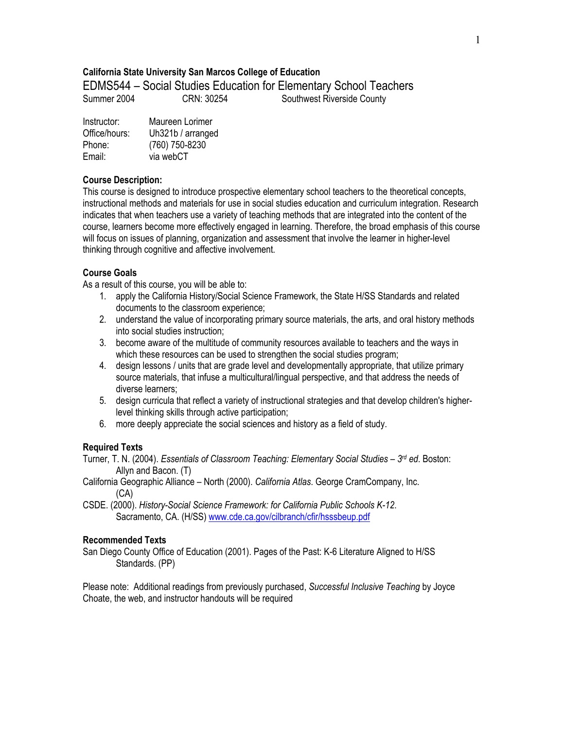## **California State University San Marcos College of Education**

EDMS544 – Social Studies Education for Elementary School Teachers

Summer 2004 CRN: 30254 Southwest Riverside County

| Instructor:   | Maureen Lorimer   |
|---------------|-------------------|
| Office/hours: | Uh321b / arranged |
| Phone:        | (760) 750-8230    |
| Email:        | via webCT         |

### **Course Description:**

This course is designed to introduce prospective elementary school teachers to the theoretical concepts, instructional methods and materials for use in social studies education and curriculum integration. Research indicates that when teachers use a variety of teaching methods that are integrated into the content of the course, learners become more effectively engaged in learning. Therefore, the broad emphasis of this course will focus on issues of planning, organization and assessment that involve the learner in higher-level thinking through cognitive and affective involvement.

## **Course Goals**

As a result of this course, you will be able to:

- 1. apply the California History/Social Science Framework, the State H/SS Standards and related documents to the classroom experience;
- 2. understand the value of incorporating primary source materials, the arts, and oral history methods into social studies instruction;
- 3. become aware of the multitude of community resources available to teachers and the ways in which these resources can be used to strengthen the social studies program;
- 4. design lessons / units that are grade level and developmentally appropriate, that utilize primary source materials, that infuse a multicultural/lingual perspective, and that address the needs of diverse learners;
- 5. design curricula that reflect a variety of instructional strategies and that develop children's higherlevel thinking skills through active participation;
- 6. more deeply appreciate the social sciences and history as a field of study.

## **Required Texts**

Turner, T. N. (2004). *Essentials of Classroom Teaching: Elementary Social Studies – 3rd ed*. Boston: Allyn and Bacon. (T)

- California Geographic Alliance North (2000). *California Atlas*. George CramCompany, Inc. (CA)
- CSDE. (2000). *History-Social Science Framework: for California Public Schools K-12*. Sacramento, CA. (H/SS) www.cde.ca.gov/cilbranch/cfir/hsssbeup.pdf

### **Recommended Texts**

San Diego County Office of Education (2001). Pages of the Past: K-6 Literature Aligned to H/SS Standards. (PP)

Please note: Additional readings from previously purchased, *Successful Inclusive Teaching* by Joyce Choate, the web, and instructor handouts will be required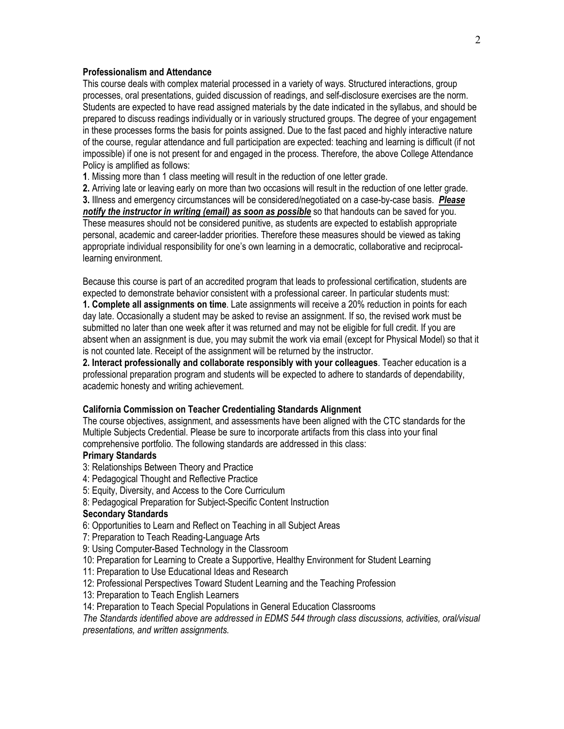### **Professionalism and Attendance**

This course deals with complex material processed in a variety of ways. Structured interactions, group processes, oral presentations, guided discussion of readings, and self-disclosure exercises are the norm. Students are expected to have read assigned materials by the date indicated in the syllabus, and should be prepared to discuss readings individually or in variously structured groups. The degree of your engagement in these processes forms the basis for points assigned. Due to the fast paced and highly interactive nature of the course, regular attendance and full participation are expected: teaching and learning is difficult (if not impossible) if one is not present for and engaged in the process. Therefore, the above College Attendance Policy is amplified as follows:

**1**. Missing more than 1 class meeting will result in the reduction of one letter grade.

**2.** Arriving late or leaving early on more than two occasions will result in the reduction of one letter grade. **3.** Illness and emergency circumstances will be considered/negotiated on a case-by-case basis. *Please notify the instructor in writing (email) as soon as possible* so that handouts can be saved for you. These measures should not be considered punitive, as students are expected to establish appropriate personal, academic and career-ladder priorities. Therefore these measures should be viewed as taking appropriate individual responsibility for one's own learning in a democratic, collaborative and reciprocallearning environment.

Because this course is part of an accredited program that leads to professional certification, students are expected to demonstrate behavior consistent with a professional career. In particular students must: **1. Complete all assignments on time**. Late assignments will receive a 20% reduction in points for each day late. Occasionally a student may be asked to revise an assignment. If so, the revised work must be submitted no later than one week after it was returned and may not be eligible for full credit. If you are absent when an assignment is due, you may submit the work via email (except for Physical Model) so that it is not counted late. Receipt of the assignment will be returned by the instructor.

**2. Interact professionally and collaborate responsibly with your colleagues**. Teacher education is a professional preparation program and students will be expected to adhere to standards of dependability, academic honesty and writing achievement.

#### **California Commission on Teacher Credentialing Standards Alignment**

The course objectives, assignment, and assessments have been aligned with the CTC standards for the Multiple Subjects Credential. Please be sure to incorporate artifacts from this class into your final comprehensive portfolio. The following standards are addressed in this class:

# **Primary Standards**

- 3: Relationships Between Theory and Practice
- 4: Pedagogical Thought and Reflective Practice
- 5: Equity, Diversity, and Access to the Core Curriculum
- 8: Pedagogical Preparation for Subject-Specific Content Instruction

#### **Secondary Standards**

- 6: Opportunities to Learn and Reflect on Teaching in all Subject Areas
- 7: Preparation to Teach Reading-Language Arts
- 9: Using Computer-Based Technology in the Classroom
- 10: Preparation for Learning to Create a Supportive, Healthy Environment for Student Learning
- 11: Preparation to Use Educational Ideas and Research
- 12: Professional Perspectives Toward Student Learning and the Teaching Profession
- 13: Preparation to Teach English Learners
- 14: Preparation to Teach Special Populations in General Education Classrooms

*The Standards identified above are addressed in EDMS 544 through class discussions, activities, oral/visual presentations, and written assignments.*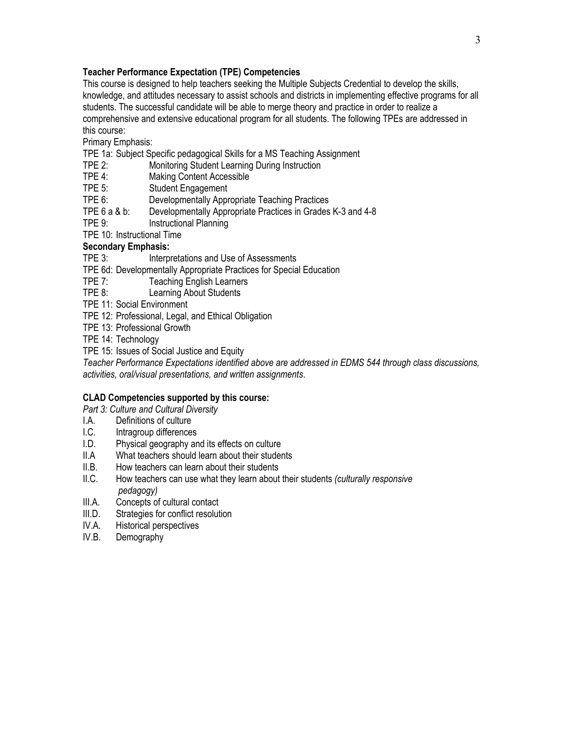# **Teacher Performance Expectation (TPE) Competencies**

This course is designed to help teachers seeking the Multiple Subjects Credential to develop the skills, knowledge, and attitudes necessary to assist schools and districts in implementing effective programs for all students. The successful candidate will be able to merge theory and practice in order to realize a comprehensive and extensive educational program for all students. The following TPEs are addressed in this course:

Primary Emphasis:

TPE 1a: Subject Specific pedagogical Skills for a MS Teaching Assignment

- TPE 2: Monitoring Student Learning During Instruction
- TPE 4: Making Content Accessible
- TPE 5: Student Engagement

TPE 6: Developmentally Appropriate Teaching Practices

- TPE 6 a & b: Developmentally Appropriate Practices in Grades K-3 and 4-8<br>TPE 9: State of Practional Planning
- Instructional Planning

TPE 10: Instructional Time

## **Secondary Emphasis:**

TPE 3: Interpretations and Use of Assessments

- TPE 6d: Developmentally Appropriate Practices for Special Education
- TPE 7: Teaching English Learners
- TPE 8: Learning About Students
- TPE 11: Social Environment
- TPE 12: Professional, Legal, and Ethical Obligation
- TPE 13: Professional Growth
- TPE 14: Technology
- TPE 15: Issues of Social Justice and Equity

*Teacher Performance Expectations identified above are addressed in EDMS 544 through class discussions, activities, oral/visual presentations, and written assignments*.

## **CLAD Competencies supported by this course:**

*Part 3: Culture and Cultural Diversity*

- I.A. Definitions of culture<br>I.C. Intragroup differences
- Intragroup differences
- I.D. Physical geography and its effects on culture
- II.A What teachers should learn about their students
- II.B. How teachers can learn about their students
- II.C. How teachers can use what they learn about their students *(culturally responsive pedagogy)*
- III.A. Concepts of cultural contact
- III.D. Strategies for conflict resolution
- IV.A. Historical perspectives
- IV.B. Demography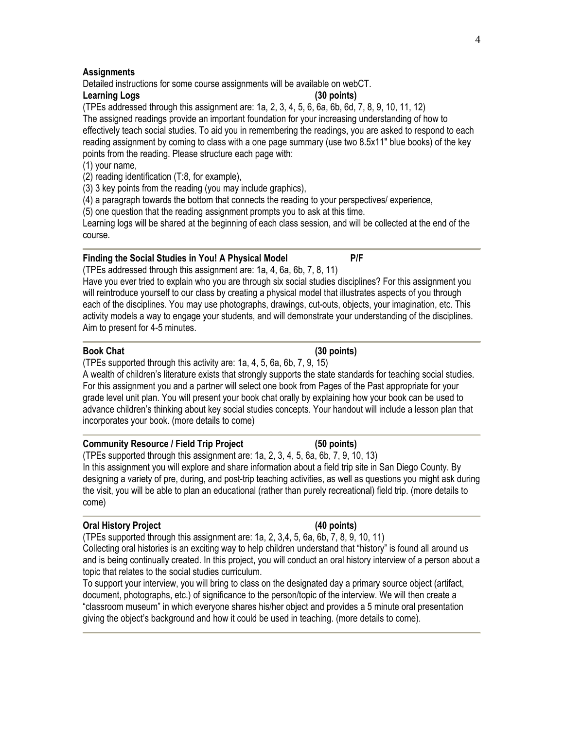## **Assignments**

Detailed instructions for some course assignments will be available on webCT.

## **Learning Logs (30 points)**

(TPEs addressed through this assignment are: 1a, 2, 3, 4, 5, 6, 6a, 6b, 6d, 7, 8, 9, 10, 11, 12) The assigned readings provide an important foundation for your increasing understanding of how to effectively teach social studies. To aid you in remembering the readings, you are asked to respond to each reading assignment by coming to class with a one page summary (use two 8.5x11" blue books) of the key points from the reading. Please structure each page with:

## (1) your name,

(2) reading identification (T:8, for example),

(3) 3 key points from the reading (you may include graphics),

(4) a paragraph towards the bottom that connects the reading to your perspectives/ experience,

(5) one question that the reading assignment prompts you to ask at this time.

Learning logs will be shared at the beginning of each class session, and will be collected at the end of the course.

## **Finding the Social Studies in You! A Physical Model P/F**

(TPEs addressed through this assignment are: 1a, 4, 6a, 6b, 7, 8, 11)

Have you ever tried to explain who you are through six social studies disciplines? For this assignment you will reintroduce yourself to our class by creating a physical model that illustrates aspects of you through each of the disciplines. You may use photographs, drawings, cut-outs, objects, your imagination, etc. This activity models a way to engage your students, and will demonstrate your understanding of the disciplines. Aim to present for 4-5 minutes.

## **Book Chat (30 points)**

(TPEs supported through this activity are: 1a, 4, 5, 6a, 6b, 7, 9, 15)

A wealth of children's literature exists that strongly supports the state standards for teaching social studies. For this assignment you and a partner will select one book from Pages of the Past appropriate for your grade level unit plan. You will present your book chat orally by explaining how your book can be used to advance children's thinking about key social studies concepts. Your handout will include a lesson plan that incorporates your book. (more details to come)

## **Community Resource / Field Trip Project (50 points)**

(TPEs supported through this assignment are: 1a, 2, 3, 4, 5, 6a, 6b, 7, 9, 10, 13) In this assignment you will explore and share information about a field trip site in San Diego County. By designing a variety of pre, during, and post-trip teaching activities, as well as questions you might ask during the visit, you will be able to plan an educational (rather than purely recreational) field trip. (more details to come)

## **Oral History Project (40 points)**

(TPEs supported through this assignment are: 1a, 2, 3,4, 5, 6a, 6b, 7, 8, 9, 10, 11) Collecting oral histories is an exciting way to help children understand that "history" is found all around us and is being continually created. In this project, you will conduct an oral history interview of a person about a topic that relates to the social studies curriculum.

To support your interview, you will bring to class on the designated day a primary source object (artifact, document, photographs, etc.) of significance to the person/topic of the interview. We will then create a "classroom museum" in which everyone shares his/her object and provides a 5 minute oral presentation giving the object's background and how it could be used in teaching. (more details to come).